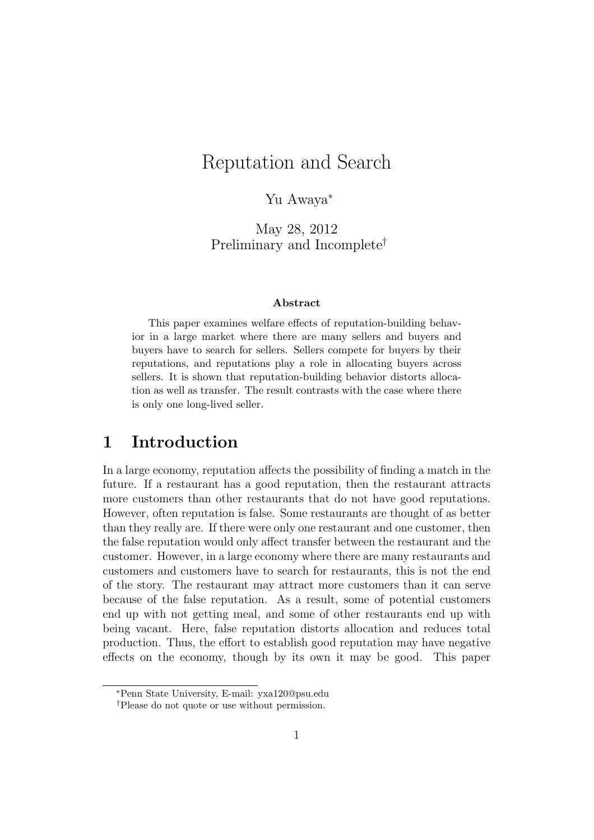# Reputation and Search

### Yu Awaya*<sup>∗</sup>*

May 28, 2012 Preliminary and Incomplete*†*

#### **Abstract**

This paper examines welfare effects of reputation-building behavior in a large market where there are many sellers and buyers and buyers have to search for sellers. Sellers compete for buyers by their reputations, and reputations play a role in allocating buyers across sellers. It is shown that reputation-building behavior distorts allocation as well as transfer. The result contrasts with the case where there is only one long-lived seller.

## **1 Introduction**

In a large economy, reputation affects the possibility of finding a match in the future. If a restaurant has a good reputation, then the restaurant attracts more customers than other restaurants that do not have good reputations. However, often reputation is false. Some restaurants are thought of as better than they really are. If there were only one restaurant and one customer, then the false reputation would only affect transfer between the restaurant and the customer. However, in a large economy where there are many restaurants and customers and customers have to search for restaurants, this is not the end of the story. The restaurant may attract more customers than it can serve because of the false reputation. As a result, some of potential customers end up with not getting meal, and some of other restaurants end up with being vacant. Here, false reputation distorts allocation and reduces total production. Thus, the effort to establish good reputation may have negative effects on the economy, though by its own it may be good. This paper

*<sup>∗</sup>*Penn State University, E-mail: yxa120@psu.edu

*<sup>†</sup>*Please do not quote or use without permission.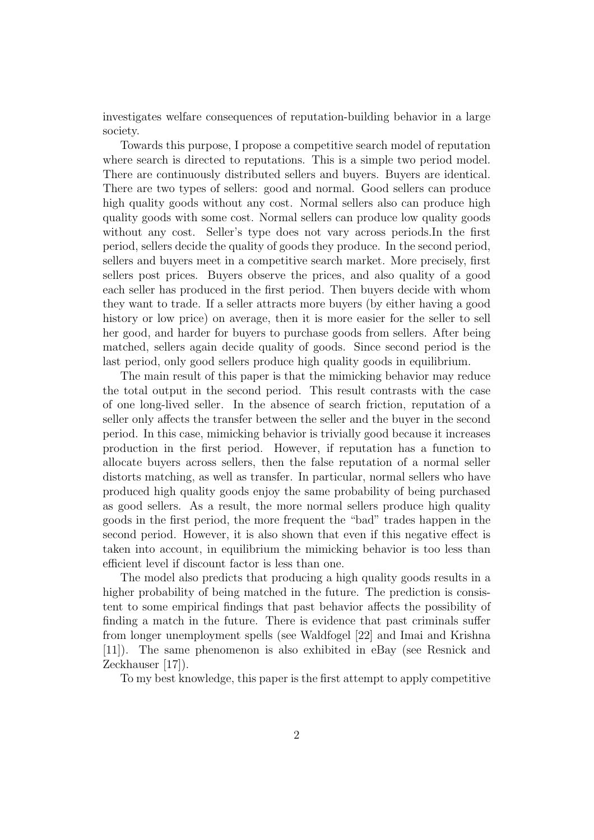investigates welfare consequences of reputation-building behavior in a large society.

Towards this purpose, I propose a competitive search model of reputation where search is directed to reputations. This is a simple two period model. There are continuously distributed sellers and buyers. Buyers are identical. There are two types of sellers: good and normal. Good sellers can produce high quality goods without any cost. Normal sellers also can produce high quality goods with some cost. Normal sellers can produce low quality goods without any cost. Seller's type does not vary across periods.In the first period, sellers decide the quality of goods they produce. In the second period, sellers and buyers meet in a competitive search market. More precisely, first sellers post prices. Buyers observe the prices, and also quality of a good each seller has produced in the first period. Then buyers decide with whom they want to trade. If a seller attracts more buyers (by either having a good history or low price) on average, then it is more easier for the seller to sell her good, and harder for buyers to purchase goods from sellers. After being matched, sellers again decide quality of goods. Since second period is the last period, only good sellers produce high quality goods in equilibrium.

The main result of this paper is that the mimicking behavior may reduce the total output in the second period. This result contrasts with the case of one long-lived seller. In the absence of search friction, reputation of a seller only affects the transfer between the seller and the buyer in the second period. In this case, mimicking behavior is trivially good because it increases production in the first period. However, if reputation has a function to allocate buyers across sellers, then the false reputation of a normal seller distorts matching, as well as transfer. In particular, normal sellers who have produced high quality goods enjoy the same probability of being purchased as good sellers. As a result, the more normal sellers produce high quality goods in the first period, the more frequent the "bad" trades happen in the second period. However, it is also shown that even if this negative effect is taken into account, in equilibrium the mimicking behavior is too less than efficient level if discount factor is less than one.

The model also predicts that producing a high quality goods results in a higher probability of being matched in the future. The prediction is consistent to some empirical findings that past behavior affects the possibility of finding a match in the future. There is evidence that past criminals suffer from longer unemployment spells (see Waldfogel [22] and Imai and Krishna [11]). The same phenomenon is also exhibited in eBay (see Resnick and Zeckhauser [17]).

To my best knowledge, this paper is the first attempt to apply competitive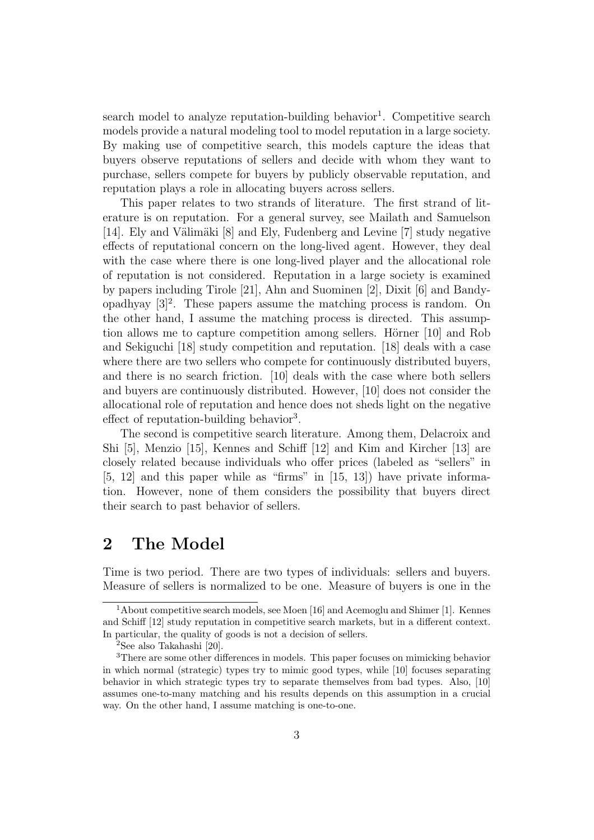search model to analyze reputation-building behavior<sup>1</sup>. Competitive search models provide a natural modeling tool to model reputation in a large society. By making use of competitive search, this models capture the ideas that buyers observe reputations of sellers and decide with whom they want to purchase, sellers compete for buyers by publicly observable reputation, and reputation plays a role in allocating buyers across sellers.

This paper relates to two strands of literature. The first strand of literature is on reputation. For a general survey, see Mailath and Samuelson [14]. Ely and Välimäki [8] and Ely, Fudenberg and Levine [7] study negative effects of reputational concern on the long-lived agent. However, they deal with the case where there is one long-lived player and the allocational role of reputation is not considered. Reputation in a large society is examined by papers including Tirole [21], Ahn and Suominen [2], Dixit [6] and Bandyopadhyay  $[3]^2$ . These papers assume the matching process is random. On the other hand, I assume the matching process is directed. This assumption allows me to capture competition among sellers. Hörner  $[10]$  and Rob and Sekiguchi [18] study competition and reputation. [18] deals with a case where there are two sellers who compete for continuously distributed buyers, and there is no search friction. [10] deals with the case where both sellers and buyers are continuously distributed. However, [10] does not consider the allocational role of reputation and hence does not sheds light on the negative effect of reputation-building behavior<sup>3</sup>.

The second is competitive search literature. Among them, Delacroix and Shi [5], Menzio [15], Kennes and Schiff [12] and Kim and Kircher [13] are closely related because individuals who offer prices (labeled as "sellers" in [5, 12] and this paper while as "firms" in [15, 13]) have private information. However, none of them considers the possibility that buyers direct their search to past behavior of sellers.

## **2 The Model**

Time is two period. There are two types of individuals: sellers and buyers. Measure of sellers is normalized to be one. Measure of buyers is one in the

<sup>&</sup>lt;sup>1</sup>About competitive search models, see Moen [16] and Acemoglu and Shimer [1]. Kennes and Schiff [12] study reputation in competitive search markets, but in a different context. In particular, the quality of goods is not a decision of sellers.

 ${}^{2}$ See also Takahashi [20].

<sup>3</sup>There are some other differences in models. This paper focuses on mimicking behavior in which normal (strategic) types try to mimic good types, while [10] focuses separating behavior in which strategic types try to separate themselves from bad types. Also, [10] assumes one-to-many matching and his results depends on this assumption in a crucial way. On the other hand, I assume matching is one-to-one.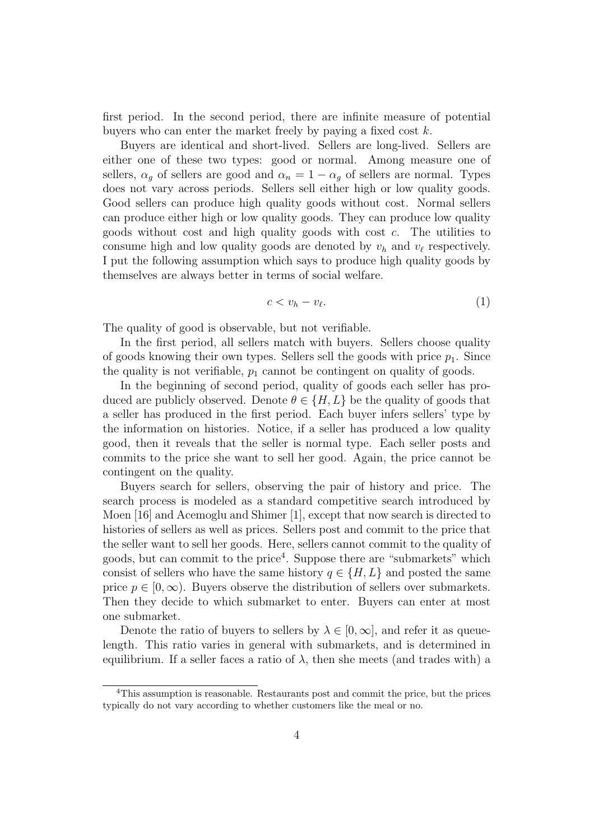first period. In the second period, there are infinite measure of potential buyers who can enter the market freely by paying a fixed cost *k*.

Buyers are identical and short-lived. Sellers are long-lived. Sellers are either one of these two types: good or normal. Among measure one of sellers,  $\alpha_q$  of sellers are good and  $\alpha_n = 1 - \alpha_q$  of sellers are normal. Types does not vary across periods. Sellers sell either high or low quality goods. Good sellers can produce high quality goods without cost. Normal sellers can produce either high or low quality goods. They can produce low quality goods without cost and high quality goods with cost *c*. The utilities to consume high and low quality goods are denoted by  $v_h$  and  $v_\ell$  respectively. I put the following assumption which says to produce high quality goods by themselves are always better in terms of social welfare.

$$
c < v_h - v_\ell. \tag{1}
$$

The quality of good is observable, but not verifiable.

In the first period, all sellers match with buyers. Sellers choose quality of goods knowing their own types. Sellers sell the goods with price  $p_1$ . Since the quality is not verifiable,  $p_1$  cannot be contingent on quality of goods.

In the beginning of second period, quality of goods each seller has produced are publicly observed. Denote  $\theta \in \{H, L\}$  be the quality of goods that a seller has produced in the first period. Each buyer infers sellers' type by the information on histories. Notice, if a seller has produced a low quality good, then it reveals that the seller is normal type. Each seller posts and commits to the price she want to sell her good. Again, the price cannot be contingent on the quality.

Buyers search for sellers, observing the pair of history and price. The search process is modeled as a standard competitive search introduced by Moen [16] and Acemoglu and Shimer [1], except that now search is directed to histories of sellers as well as prices. Sellers post and commit to the price that the seller want to sell her goods. Here, sellers cannot commit to the quality of goods, but can commit to the price<sup>4</sup>. Suppose there are "submarkets" which consist of sellers who have the same history  $q \in \{H, L\}$  and posted the same price  $p \in [0, \infty)$ . Buyers observe the distribution of sellers over submarkets. Then they decide to which submarket to enter. Buyers can enter at most one submarket.

Denote the ratio of buyers to sellers by  $\lambda \in [0, \infty]$ , and refer it as queuelength. This ratio varies in general with submarkets, and is determined in equilibrium. If a seller faces a ratio of  $\lambda$ , then she meets (and trades with) a

<sup>4</sup>This assumption is reasonable. Restaurants post and commit the price, but the prices typically do not vary according to whether customers like the meal or no.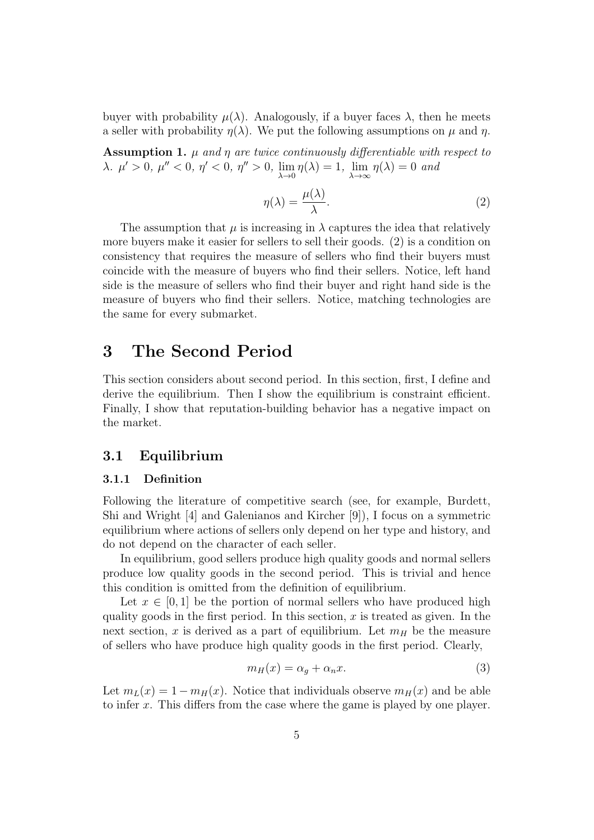buyer with probability  $\mu(\lambda)$ . Analogously, if a buyer faces  $\lambda$ , then he meets a seller with probability  $\eta(\lambda)$ . We put the following assumptions on  $\mu$  and  $\eta$ .

**Assumption 1.** *µ and η are twice continuously differentiable with respect to λ. µ ′ >* 0*, µ ′′ <* 0*, η ′ <* 0*, η ′′ >* 0*,* lim *λ→*0  $\eta(\lambda) = 1$ , lim *λ→∞*  $\eta(\lambda) = 0$  *and* 

$$
\eta(\lambda) = \frac{\mu(\lambda)}{\lambda}.\tag{2}
$$

The assumption that  $\mu$  is increasing in  $\lambda$  captures the idea that relatively more buyers make it easier for sellers to sell their goods. (2) is a condition on consistency that requires the measure of sellers who find their buyers must coincide with the measure of buyers who find their sellers. Notice, left hand side is the measure of sellers who find their buyer and right hand side is the measure of buyers who find their sellers. Notice, matching technologies are the same for every submarket.

## **3 The Second Period**

This section considers about second period. In this section, first, I define and derive the equilibrium. Then I show the equilibrium is constraint efficient. Finally, I show that reputation-building behavior has a negative impact on the market.

### **3.1 Equilibrium**

#### **3.1.1 Definition**

Following the literature of competitive search (see, for example, Burdett, Shi and Wright [4] and Galenianos and Kircher [9]), I focus on a symmetric equilibrium where actions of sellers only depend on her type and history, and do not depend on the character of each seller.

In equilibrium, good sellers produce high quality goods and normal sellers produce low quality goods in the second period. This is trivial and hence this condition is omitted from the definition of equilibrium.

Let  $x \in [0,1]$  be the portion of normal sellers who have produced high quality goods in the first period. In this section, *x* is treated as given. In the next section,  $x$  is derived as a part of equilibrium. Let  $m_H$  be the measure of sellers who have produce high quality goods in the first period. Clearly,

$$
m_H(x) = \alpha_g + \alpha_n x. \tag{3}
$$

Let  $m_L(x) = 1 - m_H(x)$ . Notice that individuals observe  $m_H(x)$  and be able to infer *x*. This differs from the case where the game is played by one player.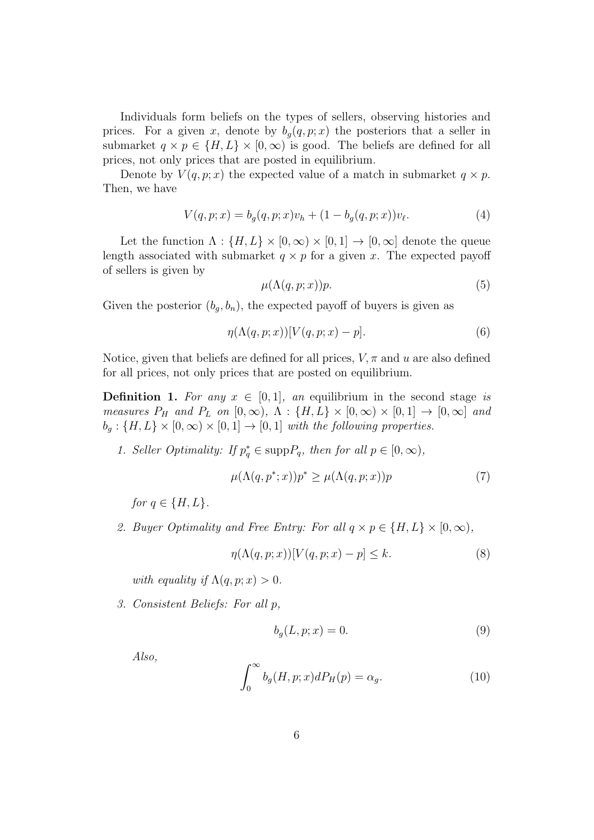Individuals form beliefs on the types of sellers, observing histories and prices. For a given *x*, denote by  $b_q(q, p; x)$  the posteriors that a seller in submarket  $q \times p \in \{H, L\} \times [0, \infty)$  is good. The beliefs are defined for all prices, not only prices that are posted in equilibrium.

Denote by  $V(q, p; x)$  the expected value of a match in submarket  $q \times p$ . Then, we have

$$
V(q, p; x) = b_g(q, p; x)v_h + (1 - b_g(q, p; x))v_{\ell}.
$$
\n(4)

Let the function  $\Lambda : \{H, L\} \times [0, \infty) \times [0, 1] \to [0, \infty]$  denote the queue length associated with submarket  $q \times p$  for a given *x*. The expected payoff of sellers is given by

$$
\mu(\Lambda(q,p;x))p.\tag{5}
$$

Given the posterior  $(b_g, b_n)$ , the expected payoff of buyers is given as

$$
\eta(\Lambda(q,p;x))[V(q,p;x)-p].\tag{6}
$$

Notice, given that beliefs are defined for all prices,  $V, \pi$  and  $u$  are also defined for all prices, not only prices that are posted on equilibrium.

**Definition 1.** For any  $x \in [0,1]$ , an equilibrium in the second stage *is measures*  $P_H$  *and*  $P_L$  *on*  $[0, \infty)$ *,*  $\Lambda : \{H, L\} \times [0, \infty) \times [0, 1] \rightarrow [0, \infty]$  *and*  $b_g: \{H, L\} \times [0, \infty) \times [0, 1] \rightarrow [0, 1]$  *with the following properties.* 

*1. Seller Optimality: If*  $p_q^* \in \text{supp} P_q$ *, then for all*  $p \in [0, \infty)$ *,* 

$$
\mu(\Lambda(q, p^*; x))p^* \ge \mu(\Lambda(q, p; x))p \tag{7}
$$

*for*  $q \in \{H, L\}$ *.* 

*2. Buyer Optimality and Free Entry: For all*  $q \times p \in \{H, L\} \times [0, \infty)$ ,

$$
\eta(\Lambda(q,p;x))[V(q,p;x)-p] \le k. \tag{8}
$$

*with equality if*  $\Lambda(a, p; x) > 0$ *.* 

*3. Consistent Beliefs: For all p,*

$$
b_g(L, p; x) = 0.
$$
\n<sup>(9)</sup>

*Also,*

$$
\int_0^\infty b_g(H, p; x) dP_H(p) = \alpha_g. \tag{10}
$$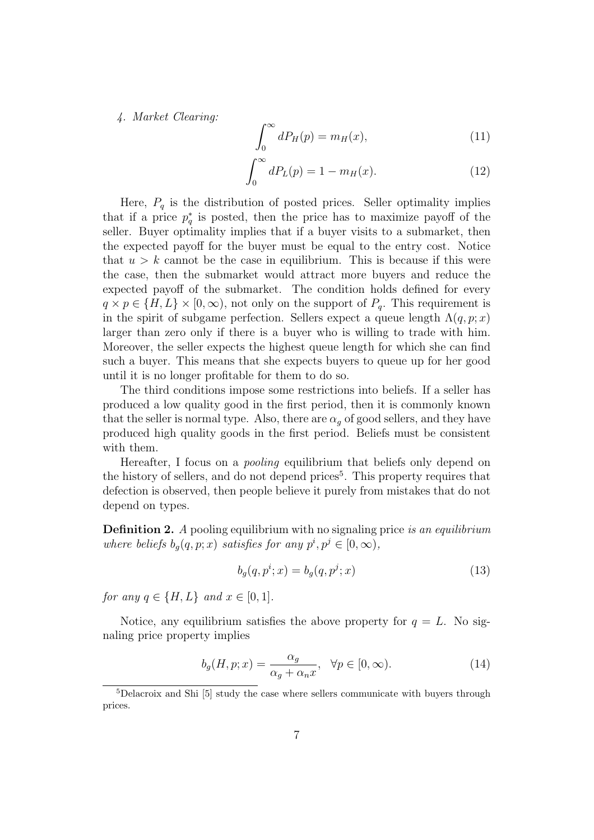*4. Market Clearing:*

$$
\int_0^\infty dP_H(p) = m_H(x),\tag{11}
$$

$$
\int_0^\infty dP_L(p) = 1 - m_H(x). \tag{12}
$$

Here,  $P_q$  is the distribution of posted prices. Seller optimality implies that if a price  $p_q^*$  is posted, then the price has to maximize payoff of the seller. Buyer optimality implies that if a buyer visits to a submarket, then the expected payoff for the buyer must be equal to the entry cost. Notice that  $u > k$  cannot be the case in equilibrium. This is because if this were the case, then the submarket would attract more buyers and reduce the expected payoff of the submarket. The condition holds defined for every  $q \times p \in \{H, L\} \times [0, \infty)$ , not only on the support of  $P_q$ . This requirement is in the spirit of subgame perfection. Sellers expect a queue length  $\Lambda(q, p; x)$ larger than zero only if there is a buyer who is willing to trade with him. Moreover, the seller expects the highest queue length for which she can find such a buyer. This means that she expects buyers to queue up for her good until it is no longer profitable for them to do so.

The third conditions impose some restrictions into beliefs. If a seller has produced a low quality good in the first period, then it is commonly known that the seller is normal type. Also, there are  $\alpha_q$  of good sellers, and they have produced high quality goods in the first period. Beliefs must be consistent with them.

Hereafter, I focus on a *pooling* equilibrium that beliefs only depend on the history of sellers, and do not depend prices<sup>5</sup>. This property requires that defection is observed, then people believe it purely from mistakes that do not depend on types.

**Definition 2.** *A* pooling equilibrium with no signaling price *is an equilibrium where beliefs*  $b_g(q, p; x)$  *satisfies for any*  $p^i, p^j \in [0, \infty)$ *,* 

$$
b_g(q, p^i; x) = b_g(q, p^j; x) \tag{13}
$$

*for any*  $q \in \{H, L\}$  *and*  $x \in [0, 1]$ *.* 

Notice, any equilibrium satisfies the above property for  $q = L$ . No signaling price property implies

$$
b_g(H, p; x) = \frac{\alpha_g}{\alpha_g + \alpha_n x}, \quad \forall p \in [0, \infty).
$$
 (14)

<sup>5</sup>Delacroix and Shi [5] study the case where sellers communicate with buyers through prices.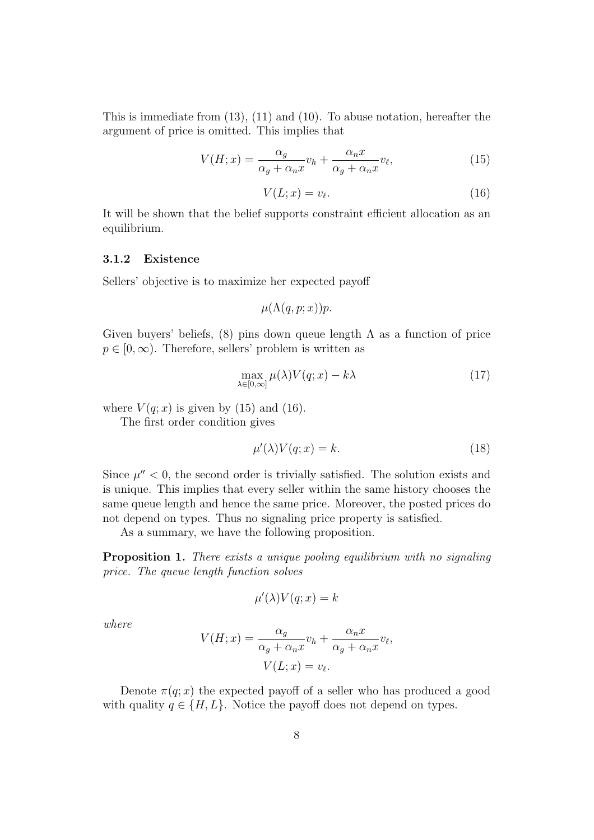This is immediate from (13), (11) and (10). To abuse notation, hereafter the argument of price is omitted. This implies that

$$
V(H;x) = \frac{\alpha_g}{\alpha_g + \alpha_n x} v_h + \frac{\alpha_n x}{\alpha_g + \alpha_n x} v_\ell,
$$
\n(15)

$$
V(L;x) = v_{\ell}.\tag{16}
$$

It will be shown that the belief supports constraint efficient allocation as an equilibrium.

#### **3.1.2 Existence**

Sellers' objective is to maximize her expected payoff

$$
\mu(\Lambda(q,p;x))p.
$$

Given buyers' beliefs, (8) pins down queue length  $\Lambda$  as a function of price  $p \in [0, \infty)$ . Therefore, sellers' problem is written as

$$
\max_{\lambda \in [0,\infty]} \mu(\lambda)V(q;x) - k\lambda \tag{17}
$$

where  $V(q; x)$  is given by (15) and (16).

The first order condition gives

$$
\mu'(\lambda)V(q;x) = k.\tag{18}
$$

Since  $\mu'' < 0$ , the second order is trivially satisfied. The solution exists and is unique. This implies that every seller within the same history chooses the same queue length and hence the same price. Moreover, the posted prices do not depend on types. Thus no signaling price property is satisfied.

As a summary, we have the following proposition.

**Proposition 1.** *There exists a unique pooling equilibrium with no signaling price. The queue length function solves*

$$
\mu'(\lambda)V(q;x) = k
$$

*where*

$$
V(H; x) = \frac{\alpha_g}{\alpha_g + \alpha_n x} v_h + \frac{\alpha_n x}{\alpha_g + \alpha_n x} v_\ell,
$$
  

$$
V(L; x) = v_\ell.
$$

Denote  $\pi(q; x)$  the expected payoff of a seller who has produced a good with quality  $q \in \{H, L\}$ . Notice the payoff does not depend on types.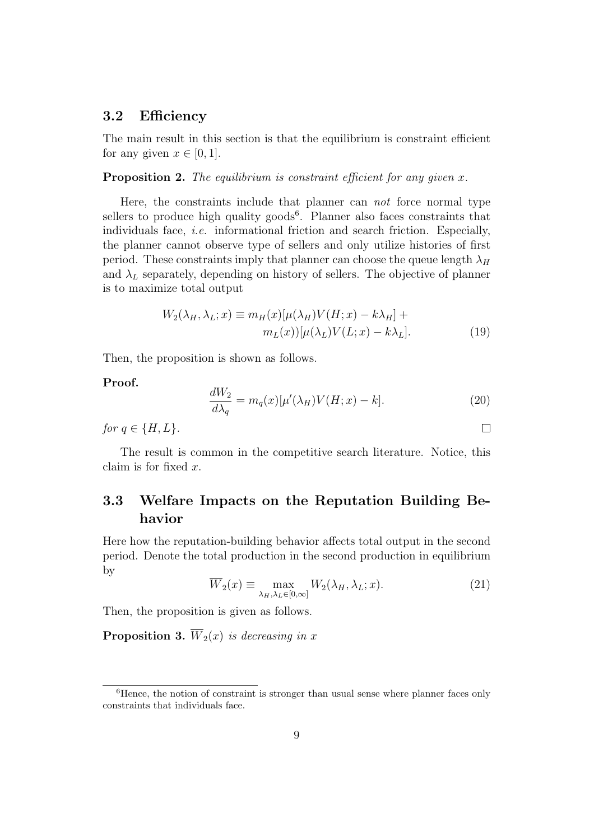### **3.2 Efficiency**

The main result in this section is that the equilibrium is constraint efficient for any given  $x \in [0, 1]$ .

**Proposition 2.** *The equilibrium is constraint efficient for any given x.*

Here, the constraints include that planner can *not* force normal type sellers to produce high quality goods<sup>6</sup>. Planner also faces constraints that individuals face, *i.e.* informational friction and search friction. Especially, the planner cannot observe type of sellers and only utilize histories of first period. These constraints imply that planner can choose the queue length  $\lambda_H$ and  $\lambda_L$  separately, depending on history of sellers. The objective of planner is to maximize total output

$$
W_2(\lambda_H, \lambda_L; x) \equiv m_H(x) [\mu(\lambda_H) V(H; x) - k \lambda_H] +
$$
  

$$
m_L(x) [\mu(\lambda_L) V(L; x) - k \lambda_L].
$$
 (19)

Then, the proposition is shown as follows.

#### **Proof.**

$$
\frac{dW_2}{d\lambda_q} = m_q(x)[\mu'(\lambda_H)V(H;x) - k].\tag{20}
$$

 $\Box$ 

*for*  $q \in \{H, L\}$ *.* 

The result is common in the competitive search literature. Notice, this claim is for fixed *x*.

## **3.3 Welfare Impacts on the Reputation Building Behavior**

Here how the reputation-building behavior affects total output in the second period. Denote the total production in the second production in equilibrium by

$$
\overline{W}_2(x) \equiv \max_{\lambda_H, \lambda_L \in [0, \infty]} W_2(\lambda_H, \lambda_L; x). \tag{21}
$$

Then, the proposition is given as follows.

**Proposition 3.**  $\overline{W}_2(x)$  *is decreasing in x* 

<sup>&</sup>lt;sup>6</sup>Hence, the notion of constraint is stronger than usual sense where planner faces only constraints that individuals face.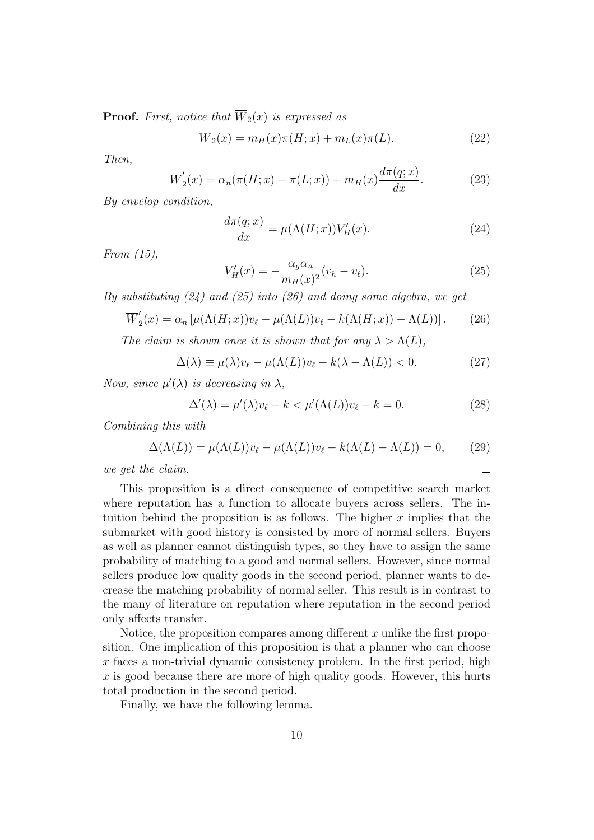**Proof.** First, notice that  $\overline{W}_2(x)$  is expressed as

$$
\overline{W}_2(x) = m_H(x)\pi(H; x) + m_L(x)\pi(L). \tag{22}
$$

*Then,*

$$
\overline{W}'_2(x) = \alpha_n(\pi(H; x) - \pi(L; x)) + m_H(x) \frac{d\pi(q; x)}{dx}.
$$
 (23)

*By envelop condition,*

$$
\frac{d\pi(q;x)}{dx} = \mu(\Lambda(H;x))V'_H(x). \tag{24}
$$

*From (15),*

$$
V'_{H}(x) = -\frac{\alpha_{g}\alpha_{n}}{m_{H}(x)^{2}}(v_{h} - v_{\ell}).
$$
\n(25)

*By substituting (24) and (25) into (26) and doing some algebra, we get*

$$
\overline{W}'_2(x) = \alpha_n \left[ \mu(\Lambda(H; x)) v_\ell - \mu(\Lambda(L)) v_\ell - k(\Lambda(H; x)) - \Lambda(L) \right]. \tag{26}
$$

*The claim is shown once it is shown that for any*  $\lambda > \Lambda(L)$ *,* 

$$
\Delta(\lambda) \equiv \mu(\lambda)v_{\ell} - \mu(\Lambda(L))v_{\ell} - k(\lambda - \Lambda(L)) < 0. \tag{27}
$$

*Now, since*  $\mu'(\lambda)$  *is decreasing in*  $\lambda$ *,* 

$$
\Delta'(\lambda) = \mu'(\lambda)v_{\ell} - k < \mu'(\Lambda(L))v_{\ell} - k = 0. \tag{28}
$$

 $\Box$ 

*Combining this with*

$$
\Delta(\Lambda(L)) = \mu(\Lambda(L))v_{\ell} - \mu(\Lambda(L))v_{\ell} - k(\Lambda(L) - \Lambda(L)) = 0, \qquad (29)
$$

*we get the claim.*

This proposition is a direct consequence of competitive search market where reputation has a function to allocate buyers across sellers. The intuition behind the proposition is as follows. The higher *x* implies that the submarket with good history is consisted by more of normal sellers. Buyers as well as planner cannot distinguish types, so they have to assign the same probability of matching to a good and normal sellers. However, since normal sellers produce low quality goods in the second period, planner wants to decrease the matching probability of normal seller. This result is in contrast to the many of literature on reputation where reputation in the second period only affects transfer.

Notice, the proposition compares among different *x* unlike the first proposition. One implication of this proposition is that a planner who can choose *x* faces a non-trivial dynamic consistency problem. In the first period, high *x* is good because there are more of high quality goods. However, this hurts total production in the second period.

Finally, we have the following lemma.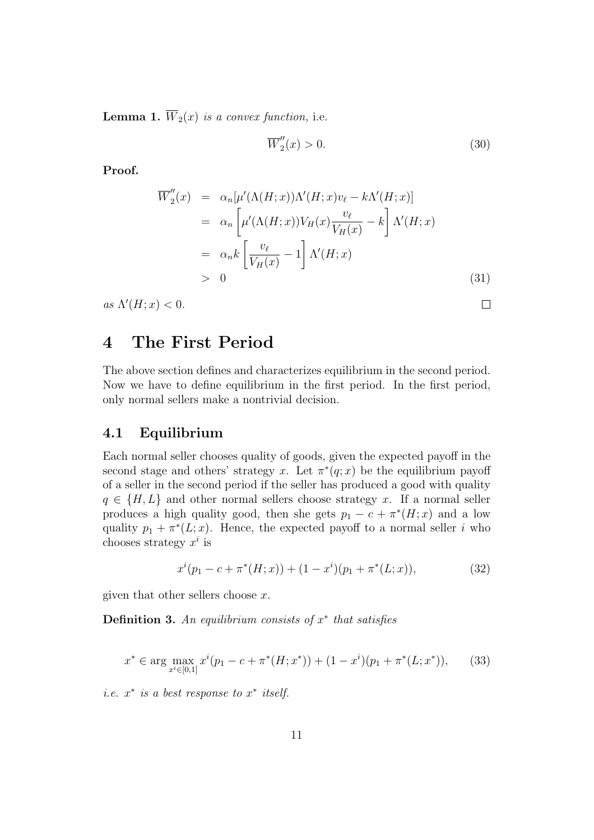**Lemma 1.**  $\overline{W}_2(x)$  *is a convex function,* i.e.

$$
\overline{W}_2''(x) > 0. \tag{30}
$$

 $\Box$ 

**Proof.**

$$
\overline{W}''_2(x) = \alpha_n[\mu'(\Lambda(H;x))\Lambda'(H;x)v_\ell - k\Lambda'(H;x)]
$$
\n
$$
= \alpha_n \left[ \mu'(\Lambda(H;x))V_H(x)\frac{v_\ell}{V_H(x)} - k \right] \Lambda'(H;x)
$$
\n
$$
= \alpha_n k \left[ \frac{v_\ell}{V_H(x)} - 1 \right] \Lambda'(H;x)
$$
\n
$$
> 0
$$
\n(31)

 $as \Lambda'(H; x) < 0.$ 

## **4 The First Period**

The above section defines and characterizes equilibrium in the second period. Now we have to define equilibrium in the first period. In the first period, only normal sellers make a nontrivial decision.

### **4.1 Equilibrium**

Each normal seller chooses quality of goods, given the expected payoff in the second stage and others' strategy *x*. Let  $\pi^*(q; x)$  be the equilibrium payoff of a seller in the second period if the seller has produced a good with quality  $q \in \{H, L\}$  and other normal sellers choose strategy *x*. If a normal seller produces a high quality good, then she gets  $p_1 - c + \pi^*(H; x)$  and a low quality  $p_1 + \pi^*(L; x)$ . Hence, the expected payoff to a normal seller *i* who chooses strategy  $x^i$  is

$$
x^{i}(p_1 - c + \pi^*(H; x)) + (1 - x^{i})(p_1 + \pi^*(L; x)), \qquad (32)
$$

given that other sellers choose *x*.

**Definition 3.** *An equilibrium consists of x ∗ that satisfies*

$$
x^* \in \arg\max_{x^i \in [0,1]} x^i (p_1 - c + \pi^* (H; x^*)) + (1 - x^i)(p_1 + \pi^* (L; x^*)),\tag{33}
$$

*i.e. x ∗ is a best response to x ∗ itself.*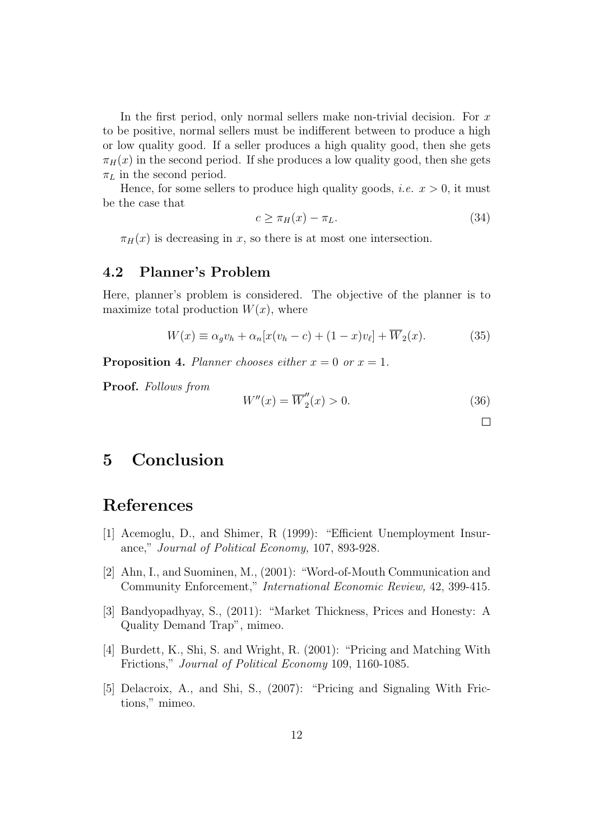In the first period, only normal sellers make non-trivial decision. For *x* to be positive, normal sellers must be indifferent between to produce a high or low quality good. If a seller produces a high quality good, then she gets  $\pi_H(x)$  in the second period. If she produces a low quality good, then she gets  $\pi_L$  in the second period.

Hence, for some sellers to produce high quality goods, *i.e.*  $x > 0$ , it must be the case that

$$
c \ge \pi_H(x) - \pi_L. \tag{34}
$$

 $\pi$ <sup>H</sup> $(x)$  is decreasing in *x*, so there is at most one intersection.

### **4.2 Planner's Problem**

Here, planner's problem is considered. The objective of the planner is to maximize total production  $W(x)$ , where

$$
W(x) \equiv \alpha_g v_h + \alpha_n [x(v_h - c) + (1 - x)v_\ell] + \overline{W}_2(x). \tag{35}
$$

**Proposition 4.** *Planner chooses either*  $x = 0$  *or*  $x = 1$ *.* 

**Proof.** *Follows from*

$$
W''(x) = \overline{W}_2''(x) > 0. \tag{36}
$$

 $\Box$ 

**5 Conclusion**

# **References**

- [1] Acemoglu, D., and Shimer, R (1999): "Efficient Unemployment Insurance," *Journal of Political Economy,* 107, 893-928.
- [2] Ahn, I., and Suominen, M., (2001): "Word-of-Mouth Communication and Community Enforcement," *International Economic Review,* 42, 399-415.
- [3] Bandyopadhyay, S., (2011): "Market Thickness, Prices and Honesty: A Quality Demand Trap", mimeo.
- [4] Burdett, K., Shi, S. and Wright, R. (2001): "Pricing and Matching With Frictions," *Journal of Political Economy* 109, 1160-1085.
- [5] Delacroix, A., and Shi, S., (2007): "Pricing and Signaling With Frictions," mimeo.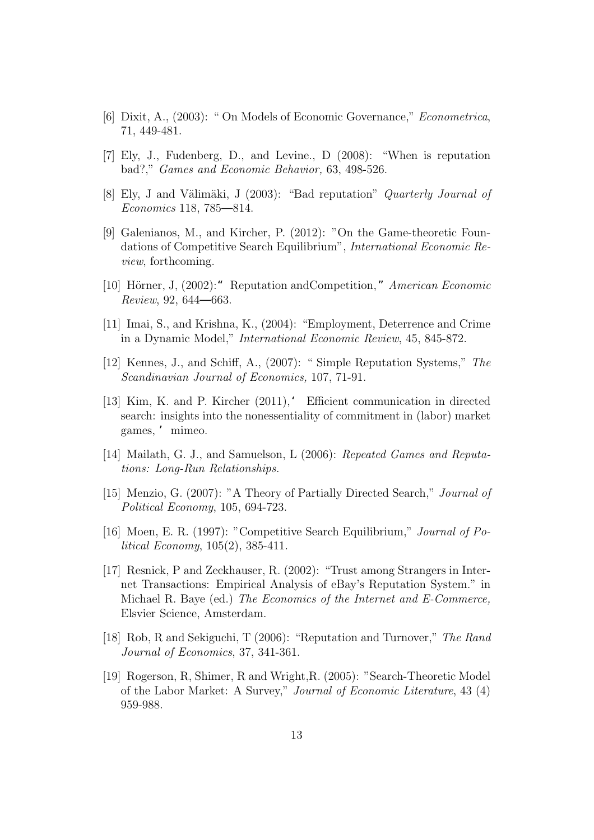- [6] Dixit, A., (2003): " On Models of Economic Governance," *Econometrica*, 71, 449-481.
- [7] Ely, J., Fudenberg, D., and Levine., D (2008): "When is reputation bad?," *Games and Economic Behavior,* 63, 498-526.
- [8] Ely, J and Välimäki, J (2003): "Bad reputation" *Quarterly Journal of Economics* 118, 785 814.
- [9] Galenianos, M., and Kircher, P. (2012): "On the Game-theoretic Foundations of Competitive Search Equilibrium", *International Economic Review*, forthcoming.
- [10] Hörner, J, (2002):" Reputation and Competition," *American Economic Review*, 92, 644 663.
- [11] Imai, S., and Krishna, K., (2004): "Employment, Deterrence and Crime in a Dynamic Model," *International Economic Review*, 45, 845-872.
- [12] Kennes, J., and Schiff, A., (2007): " Simple Reputation Systems," *The Scandinavian Journal of Economics,* 107, 71-91.
- [13] Kim, K. and P. Kircher (2011), Efficient communication in directed search: insights into the nonessentiality of commitment in (labor) market games, 'mimeo.
- [14] Mailath, G. J., and Samuelson, L (2006): *Repeated Games and Reputations: Long-Run Relationships.*
- [15] Menzio, G. (2007): "A Theory of Partially Directed Search," *Journal of Political Economy*, 105, 694-723.
- [16] Moen, E. R. (1997): "Competitive Search Equilibrium," *Journal of Political Economy*, 105(2), 385-411.
- [17] Resnick, P and Zeckhauser, R. (2002): "Trust among Strangers in Internet Transactions: Empirical Analysis of eBay's Reputation System." in Michael R. Baye (ed.) *The Economics of the Internet and E-Commerce,* Elsvier Science, Amsterdam.
- [18] Rob, R and Sekiguchi, T (2006): "Reputation and Turnover," *The Rand Journal of Economics*, 37, 341-361.
- [19] Rogerson, R, Shimer, R and Wright,R. (2005): "Search-Theoretic Model of the Labor Market: A Survey," *Journal of Economic Literature*, 43 (4) 959-988.